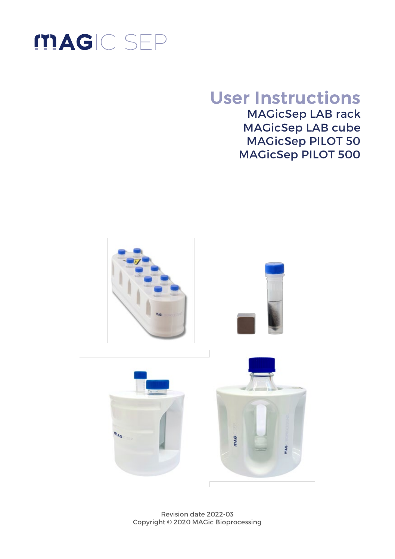

# User Instructions

MAGicSep LAB rack MAGicSep LAB cube MAGicSep PILOT 50 MAGicSep PILOT 500



Revision date 2022-03 Copyright © 2020 MAGic Bioprocessing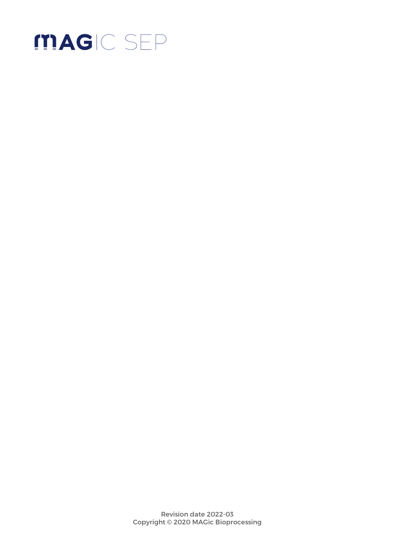

Revision date 2022-03 Copyright © 2020 MAGic Bioprocessing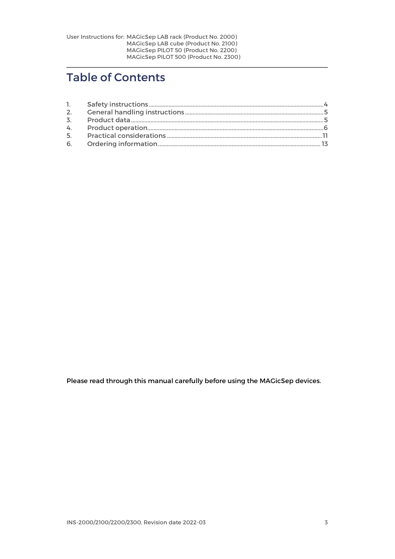# Table of Contents

| 1.             |  |
|----------------|--|
| 2.             |  |
| $\overline{3}$ |  |
|                |  |
| $5 -$          |  |
|                |  |

Please read through this manual carefully before using the MAGicSep devices.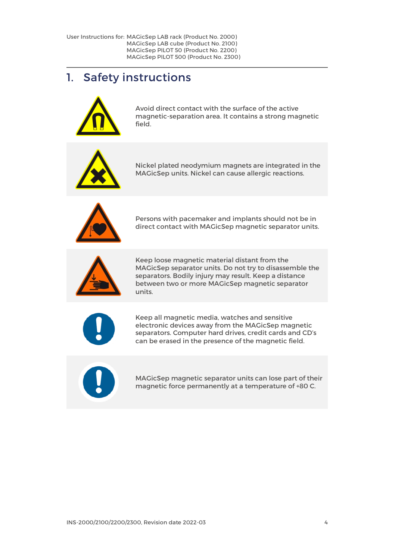## <span id="page-3-0"></span>1. Safety instructions



Avoid direct contact with the surface of the active magnetic-separation area. It contains a strong magnetic field.



Nickel plated neodymium magnets are integrated in the MAGicSep units. Nickel can cause allergic reactions.



Persons with pacemaker and implants should not be in direct contact with MAGicSep magnetic separator units.



Keep loose magnetic material distant from the MAGicSep separator units. Do not try to disassemble the separators. Bodily injury may result. Keep a distance between two or more MAGicSep magnetic separator units.



Keep all magnetic media, watches and sensitive electronic devices away from the MAGicSep magnetic separators. Computer hard drives, credit cards and CD's can be erased in the presence of the magnetic field.



MAGicSep magnetic separator units can lose part of their magnetic force permanently at a temperature of +80 C.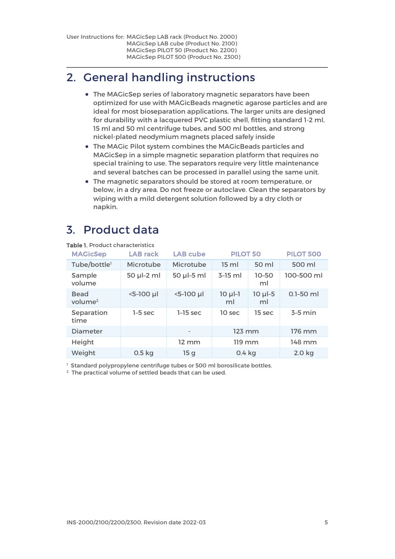# <span id="page-4-0"></span>2. General handling instructions

- The MAGicSep series of laboratory magnetic separators have been optimized for use with MAGicBeads magnetic agarose particles and are ideal for most bioseparation applications. The larger units are designed for durability with a lacquered PVC plastic shell, fitting standard 1-2 ml, 15 ml and 50 ml centrifuge tubes, and 500 ml bottles, and strong nickel-plated neodymium magnets placed safely inside
- The MAGic Pilot system combines the MAGicBeads particles and MAGicSep in a simple magnetic separation platform that requires no special training to use. The separators require very little maintenance and several batches can be processed in parallel using the same unit.
- The magnetic separators should be stored at room temperature, or below, in a dry area. Do not freeze or autoclave. Clean the separators by wiping with a mild detergent solution followed by a dry cloth or napkin.

# <span id="page-4-1"></span>3. Product data

| <b>MAGicSep</b>                    | <b>LAB</b> rack   | <b>LAB</b> cube   | <b>PILOT 50</b>   |                   | <b>PILOT 500</b> |
|------------------------------------|-------------------|-------------------|-------------------|-------------------|------------------|
| Tube/bottle <sup>1</sup>           | Microtube         | Microtube         | 15 <sub>ml</sub>  | 50 ml             | 500 ml           |
| Sample<br>volume                   | 50 µl-2 ml        | 50 µl-5 ml        | $3-15$ ml         | $10 - 50$<br>ml   | 100-500 ml       |
| <b>Bead</b><br>volume <sup>2</sup> | $5-100$ µl        | <5-100 µl         | $10 \mu$ -1<br>ml | $10 \mu$ -5<br>ml | $0.1 - 50$ ml    |
| Separation<br>time                 | $1-5$ sec         | $1-15$ sec        | 10 sec            | 15 sec            | $3-5$ min        |
| Diameter                           |                   |                   | 123 mm            |                   | 176 mm           |
| Height                             |                   | $12 \, \text{mm}$ | 119 mm            |                   | 148 mm           |
| Weight                             | 0.5 <sub>kq</sub> | 15q               | $0.4$ kg          |                   | 2.0 kg           |

Table 1. Product characteristics

<sup>1</sup> Standard polypropylene centrifuge tubes or 500 ml borosilicate bottles.

 $2$  The practical volume of settled beads that can be used.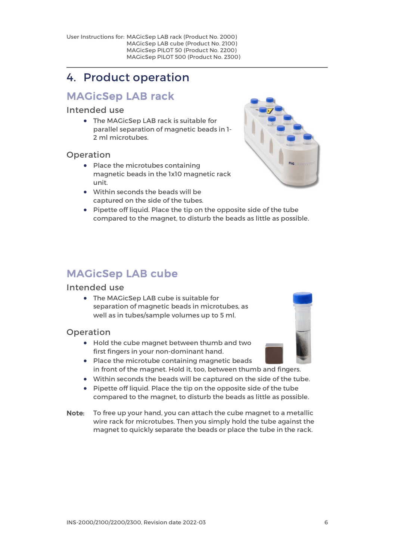# <span id="page-5-0"></span>4. Product operation

## MAGicSep LAB rack

#### Intended use

• The MAGicSep LAB rack is suitable for parallel separation of magnetic beads in 1- 2 ml microtubes.

#### Operation

- Place the microtubes containing magnetic beads in the 1x10 magnetic rack unit.
- Within seconds the beads will be captured on the side of the tubes.
- Pipette off liquid. Place the tip on the opposite side of the tube compared to the magnet, to disturb the beads as little as possible.

### MAGicSep LAB cube

#### Intended use

• The MAGicSep LAB cube is suitable for separation of magnetic beads in microtubes, as well as in tubes/sample volumes up to 5 ml.

#### Operation

- Hold the cube magnet between thumb and two first fingers in your non-dominant hand.
- Place the microtube containing magnetic beads in front of the magnet. Hold it, too, between thumb and fingers.
- Within seconds the beads will be captured on the side of the tube.
- Pipette off liquid. Place the tip on the opposite side of the tube compared to the magnet, to disturb the beads as little as possible.
- Note: To free up your hand, you can attach the cube magnet to a metallic wire rack for microtubes. Then you simply hold the tube against the magnet to quickly separate the beads or place the tube in the rack.



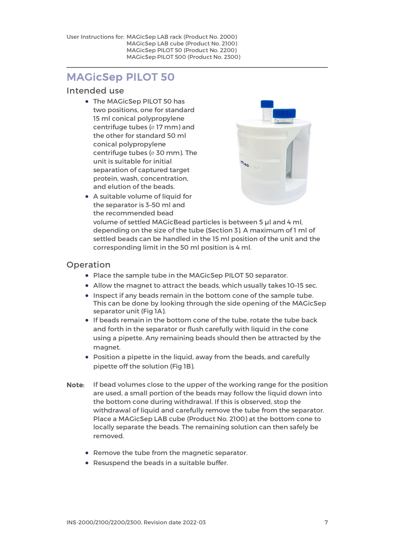### MAGicSep PILOT 50

#### Intended use

• The MAGicSep PILOT 50 has two positions, one for standard 15 ml conical polypropylene centrifuge tubes (⌀ 17 mm) and the other for standard 50 ml conical polypropylene centrifuge tubes (⌀ 30 mm). The unit is suitable for initial separation of captured target protein, wash, concentration, and elution of the beads.



• A suitable volume of liquid for the separator is 3–50 ml and the recommended bead

volume of settled MAGicBead particles is between 5 µl and 4 ml, depending on the size of the tube (Section 3). A maximum of 1 ml of settled beads can be handled in the 15 ml position of the unit and the corresponding limit in the 50 ml position is 4 ml.

#### Operation

- Place the sample tube in the MAGicSep PILOT 50 separator.
- Allow the magnet to attract the beads, which usually takes 10–15 sec.
- Inspect if any beads remain in the bottom cone of the sample tube. This can be done by looking through the side opening of the MAGicSep separator unit (Fig 1A).
- If beads remain in the bottom cone of the tube, rotate the tube back and forth in the separator or flush carefully with liquid in the cone using a pipette. Any remaining beads should then be attracted by the magnet.
- Position a pipette in the liquid, away from the beads, and carefully pipette off the solution (Fig 1B).
- Note: If bead volumes close to the upper of the working range for the position are used, a small portion of the beads may follow the liquid down into the bottom cone during withdrawal. If this is observed, stop the withdrawal of liquid and carefully remove the tube from the separator. Place a MAGicSep LAB cube (Product No. 2100) at the bottom cone to locally separate the beads. The remaining solution can then safely be removed.
	- Remove the tube from the magnetic separator.
	- Resuspend the beads in a suitable buffer.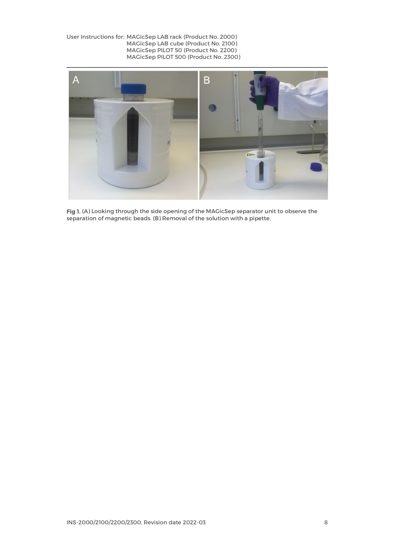

Fig 1. (A) Looking through the side opening of the MAGicSep separator unit to observe the separation of magnetic beads. (B) Removal of the solution with a pipette.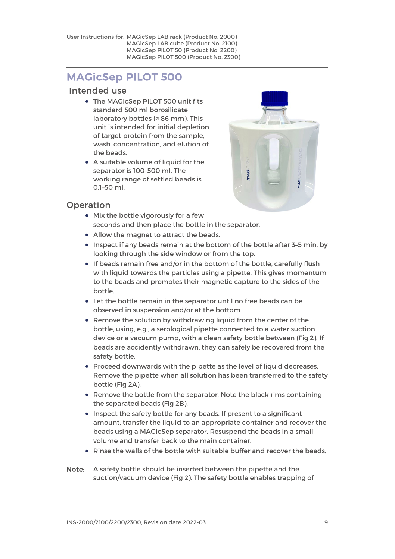### MAGicSep PILOT 500

#### Intended use

- The MAGicSep PILOT 500 unit fits standard 500 ml borosilicate laboratory bottles (∅ 86 mm). This unit is intended for initial depletion of target protein from the sample, wash, concentration, and elution of the beads.
- A suitable volume of liquid for the separator is 100–500 ml. The working range of settled beads is 0.1–50 ml.



#### Operation

- Mix the bottle vigorously for a few seconds and then place the bottle in the separator.
- Allow the magnet to attract the beads.
- Inspect if any beads remain at the bottom of the bottle after 3–5 min, by looking through the side window or from the top.
- If beads remain free and/or in the bottom of the bottle, carefully flush with liquid towards the particles using a pipette. This gives momentum to the beads and promotes their magnetic capture to the sides of the bottle.
- Let the bottle remain in the separator until no free beads can be observed in suspension and/or at the bottom.
- Remove the solution by withdrawing liquid from the center of the bottle, using, e.g., a serological pipette connected to a water suction device or a vacuum pump, with a clean safety bottle between (Fig 2). If beads are accidently withdrawn, they can safely be recovered from the safety bottle.
- Proceed downwards with the pipette as the level of liquid decreases. Remove the pipette when all solution has been transferred to the safety bottle (Fig 2A).
- Remove the bottle from the separator. Note the black rims containing the separated beads (Fig 2B).
- Inspect the safety bottle for any beads. If present to a significant amount, transfer the liquid to an appropriate container and recover the beads using a MAGicSep separator. Resuspend the beads in a small volume and transfer back to the main container.
- Rinse the walls of the bottle with suitable buffer and recover the beads.
- Note: A safety bottle should be inserted between the pipette and the suction/vacuum device (Fig 2). The safety bottle enables trapping of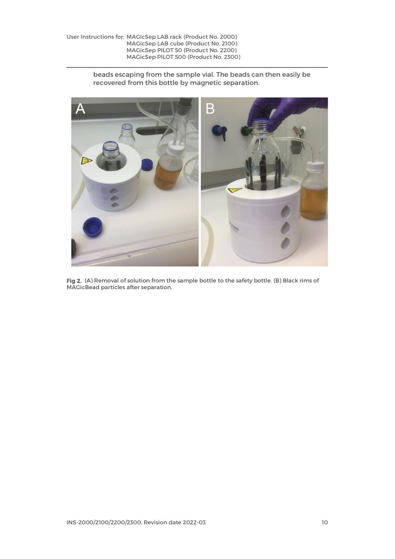beads escaping from the sample vial. The beads can then easily be recovered from this bottle by magnetic separation.



Fig 2. (A) Removal of solution from the sample bottle to the safety bottle. (B) Black rims of MAGicBead particles after separation.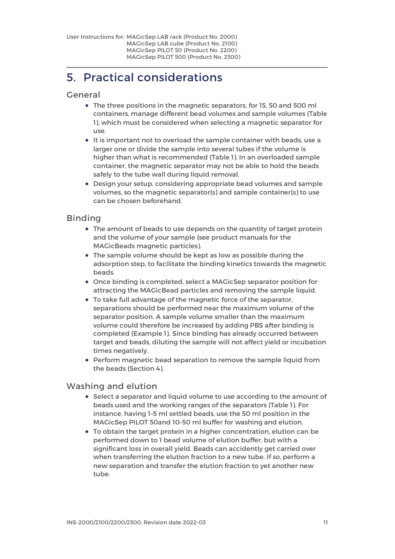# <span id="page-10-0"></span>5. Practical considerations

#### General

- The three positions in the magnetic separators, for 15, 50 and 500 ml containers, manage different bead volumes and sample volumes (Table 1), which must be considered when selecting a magnetic separator for use.
- It is important not to overload the sample container with beads, use a larger one or divide the sample into several tubes if the volume is higher than what is recommended (Table 1). In an overloaded sample container, the magnetic separator may not be able to hold the beads safely to the tube wall during liquid removal.
- Design your setup, considering appropriate bead volumes and sample volumes, so the magnetic separator(s) and sample container(s) to use can be chosen beforehand.

#### Binding

- The amount of beads to use depends on the quantity of target protein and the volume of your sample (see product manuals for the MAGicBeads magnetic particles).
- The sample volume should be kept as low as possible during the adsorption step, to facilitate the binding kinetics towards the magnetic beads.
- Once binding is completed, select a MAGicSep separator position for attracting the MAGicBead particles and removing the sample liquid.
- To take full advantage of the magnetic force of the separator, separations should be performed near the maximum volume of the separator position. A sample volume smaller than the maximum volume could therefore be increased by adding PBS after binding is completed (Example 1). Since binding has already occurred between target and beads, diluting the sample will not affect yield or incubation times negatively.
- Perform magnetic bead separation to remove the sample liquid from the beads (Section 4).

#### Washing and elution

- Select a separator and liquid volume to use according to the amount of beads used and the working ranges of the separators (Table 1). For instance, having 1–5 ml settled beads, use the 50 ml position in the MAGicSep PILOT 50and 10–50 ml buffer for washing and elution.
- To obtain the target protein in a higher concentration, elution can be performed down to 1 bead volume of elution buffer, but with a significant loss in overall yield. Beads can accidently get carried over when transferring the elution fraction to a new tube. If so, perform a new separation and transfer the elution fraction to yet another new tube.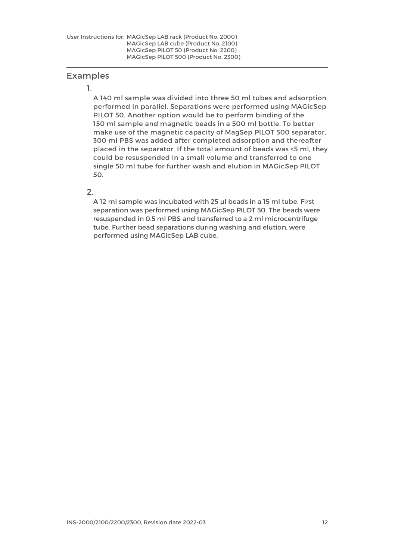#### Examples

#### 1.

A 140 ml sample was divided into three 50 ml tubes and adsorption performed in parallel. Separations were performed using MAGicSep PILOT 50. Another option would be to perform binding of the 150 ml sample and magnetic beads in a 500 ml bottle. To better make use of the magnetic capacity of MagSep PILOT 500 separator, 300 ml PBS was added after completed adsorption and thereafter placed in the separator. If the total amount of beads was <5 ml, they could be resuspended in a small volume and transferred to one single 50 ml tube for further wash and elution in MAGicSep PILOT 50.

#### $\mathcal{L}$

A 12 ml sample was incubated with 25 µl beads in a 15 ml tube. First separation was performed using MAGicSep PILOT 50. The beads were resuspended in 0.5 ml PBS and transferred to a 2 ml microcentrifuge tube. Further bead separations during washing and elution, were performed using MAGicSep LAB cube.